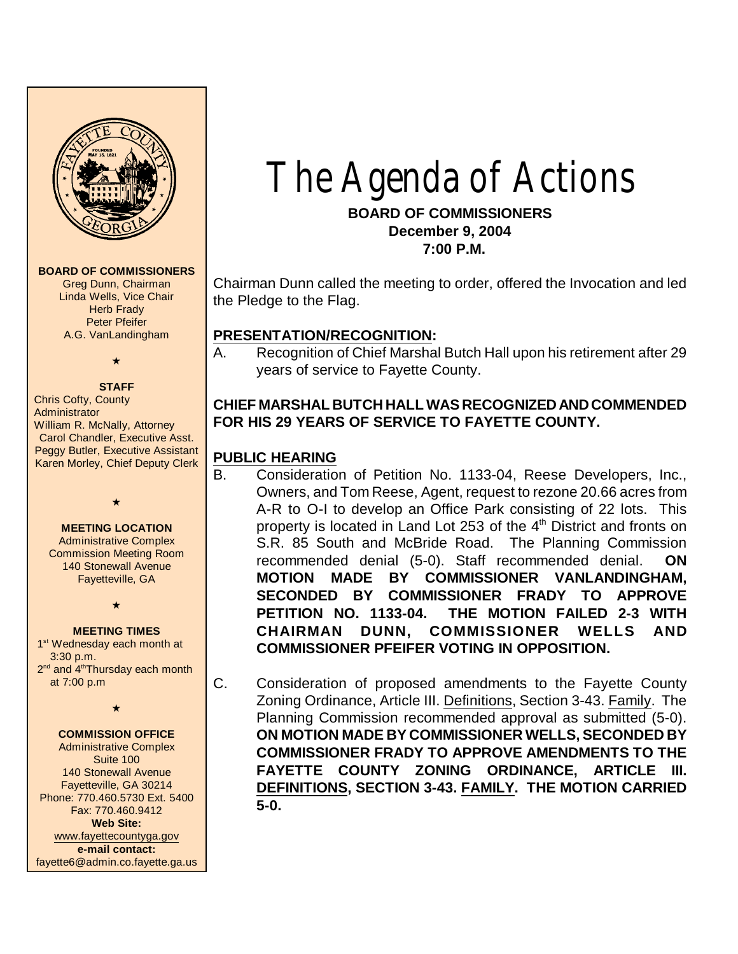

#### **BOARD OF COMMISSIONERS**

Greg Dunn, Chairman Linda Wells, Vice Chair Herb Frady Peter Pfeifer A.G. VanLandingham

# $\star$

**STAFF** Chris Cofty, County **Administrator** William R. McNally, Attorney Carol Chandler, Executive Asst. Peggy Butler, Executive Assistant Karen Morley, Chief Deputy Clerk

#### **MEETING LOCATION**

 $\star$ 

Administrative Complex Commission Meeting Room 140 Stonewall Avenue Fayetteville, GA

 $\star$ 

#### **MEETING TIMES**

1<sup>st</sup> Wednesday each month at 3:30 p.m. 2<sup>nd</sup> and 4<sup>th</sup>Thursday each month at 7:00 p.m

 $\star$ 

#### **COMMISSION OFFICE**

Administrative Complex Suite 100 140 Stonewall Avenue Fayetteville, GA 30214 Phone: 770.460.5730 Ext. 5400 Fax: 770.460.9412 **Web Site:** [www.fayettecountyga.gov](http://www.admin.co.fayette.ga.us) **e-mail contact:** fayette6@admin.co.fayette.ga.us

# The Agenda of Actions

#### **BOARD OF COMMISSIONERS December 9, 2004 7:00 P.M.**

Chairman Dunn called the meeting to order, offered the Invocation and led the Pledge to the Flag.

#### **PRESENTATION/RECOGNITION:**

A. Recognition of Chief Marshal Butch Hall upon his retirement after 29 years of service to Fayette County.

# **CHIEF MARSHAL BUTCH HALL WAS RECOGNIZED AND COMMENDED FOR HIS 29 YEARS OF SERVICE TO FAYETTE COUNTY.**

#### **PUBLIC HEARING**

- B. Consideration of Petition No. 1133-04, Reese Developers, Inc., Owners, and Tom Reese, Agent, request to rezone 20.66 acres from A-R to O-I to develop an Office Park consisting of 22 lots. This property is located in Land Lot 253 of the  $4<sup>th</sup>$  District and fronts on S.R. 85 South and McBride Road. The Planning Commission recommended denial (5-0). Staff recommended denial. **ON MOTION MADE BY COMMISSIONER VANLANDINGHAM, SECONDED BY COMMISSIONER FRADY TO APPROVE PETITION NO. 1133-04. THE MOTION FAILED 2-3 WITH CHAIRMAN DUNN, COMMISSIONER WELLS AND COMMISSIONER PFEIFER VOTING IN OPPOSITION.**
- C. Consideration of proposed amendments to the Fayette County Zoning Ordinance, Article III. Definitions, Section 3-43. Family. The Planning Commission recommended approval as submitted (5-0). **ON MOTION MADE BY COMMISSIONER WELLS, SECONDED BY COMMISSIONER FRADY TO APPROVE AMENDMENTS TO THE FAYETTE COUNTY ZONING ORDINANCE, ARTICLE III. DEFINITIONS, SECTION 3-43. FAMILY. THE MOTION CARRIED 5-0.**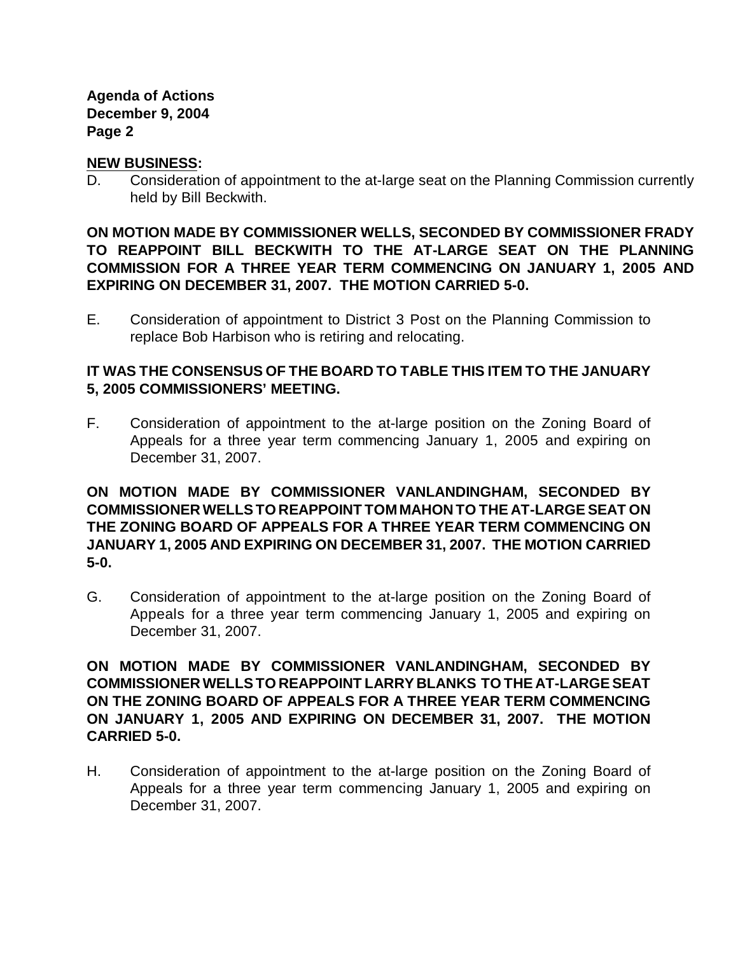#### **NEW BUSINESS:**

D. Consideration of appointment to the at-large seat on the Planning Commission currently held by Bill Beckwith.

**ON MOTION MADE BY COMMISSIONER WELLS, SECONDED BY COMMISSIONER FRADY TO REAPPOINT BILL BECKWITH TO THE AT-LARGE SEAT ON THE PLANNING COMMISSION FOR A THREE YEAR TERM COMMENCING ON JANUARY 1, 2005 AND EXPIRING ON DECEMBER 31, 2007. THE MOTION CARRIED 5-0.**

E. Consideration of appointment to District 3 Post on the Planning Commission to replace Bob Harbison who is retiring and relocating.

# **IT WAS THE CONSENSUS OF THE BOARD TO TABLE THIS ITEM TO THE JANUARY 5, 2005 COMMISSIONERS' MEETING.**

F. Consideration of appointment to the at-large position on the Zoning Board of Appeals for a three year term commencing January 1, 2005 and expiring on December 31, 2007.

**ON MOTION MADE BY COMMISSIONER VANLANDINGHAM, SECONDED BY COMMISSIONER WELLS TO REAPPOINT TOM MAHON TO THE AT-LARGE SEAT ON THE ZONING BOARD OF APPEALS FOR A THREE YEAR TERM COMMENCING ON JANUARY 1, 2005 AND EXPIRING ON DECEMBER 31, 2007. THE MOTION CARRIED 5-0.**

G. Consideration of appointment to the at-large position on the Zoning Board of Appeals for a three year term commencing January 1, 2005 and expiring on December 31, 2007.

**ON MOTION MADE BY COMMISSIONER VANLANDINGHAM, SECONDED BY COMMISSIONER WELLS TO REAPPOINT LARRY BLANKS TO THE AT-LARGE SEAT ON THE ZONING BOARD OF APPEALS FOR A THREE YEAR TERM COMMENCING ON JANUARY 1, 2005 AND EXPIRING ON DECEMBER 31, 2007. THE MOTION CARRIED 5-0.**

H. Consideration of appointment to the at-large position on the Zoning Board of Appeals for a three year term commencing January 1, 2005 and expiring on December 31, 2007.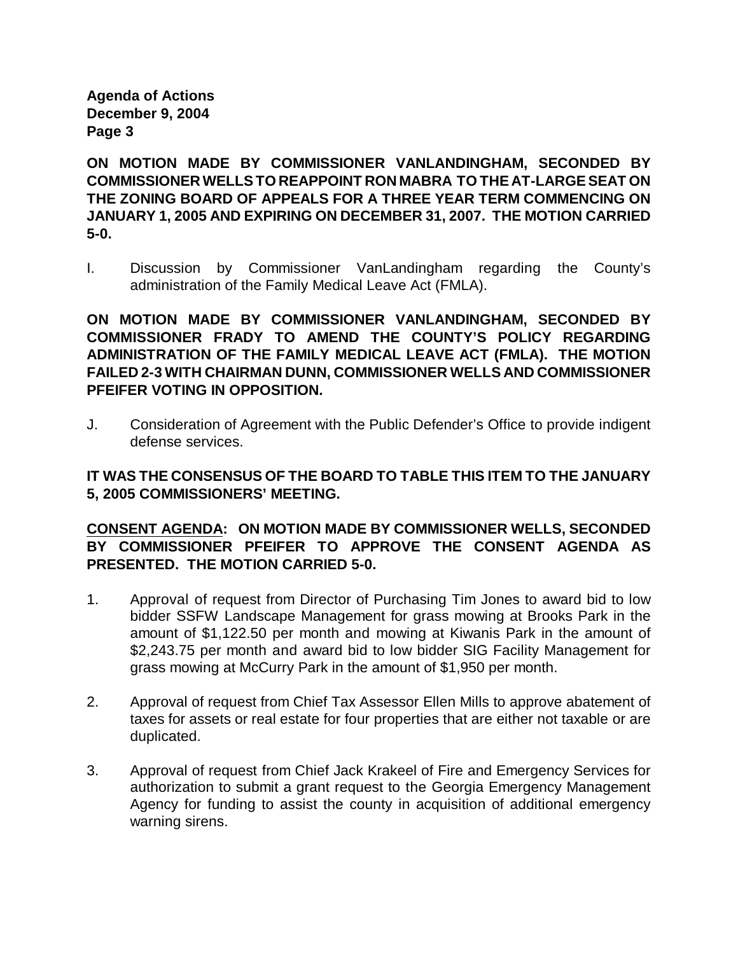**ON MOTION MADE BY COMMISSIONER VANLANDINGHAM, SECONDED BY COMMISSIONER WELLS TO REAPPOINT RON MABRA TO THE AT-LARGE SEAT ON THE ZONING BOARD OF APPEALS FOR A THREE YEAR TERM COMMENCING ON JANUARY 1, 2005 AND EXPIRING ON DECEMBER 31, 2007. THE MOTION CARRIED 5-0.**

I. Discussion by Commissioner VanLandingham regarding the County's administration of the Family Medical Leave Act (FMLA).

**ON MOTION MADE BY COMMISSIONER VANLANDINGHAM, SECONDED BY COMMISSIONER FRADY TO AMEND THE COUNTY'S POLICY REGARDING ADMINISTRATION OF THE FAMILY MEDICAL LEAVE ACT (FMLA). THE MOTION FAILED 2-3 WITH CHAIRMAN DUNN, COMMISSIONER WELLS AND COMMISSIONER PFEIFER VOTING IN OPPOSITION.** 

J. Consideration of Agreement with the Public Defender's Office to provide indigent defense services.

# **IT WAS THE CONSENSUS OF THE BOARD TO TABLE THIS ITEM TO THE JANUARY 5, 2005 COMMISSIONERS' MEETING.**

# **CONSENT AGENDA: ON MOTION MADE BY COMMISSIONER WELLS, SECONDED BY COMMISSIONER PFEIFER TO APPROVE THE CONSENT AGENDA AS PRESENTED. THE MOTION CARRIED 5-0.**

- 1. Approval of request from Director of Purchasing Tim Jones to award bid to low bidder SSFW Landscape Management for grass mowing at Brooks Park in the amount of \$1,122.50 per month and mowing at Kiwanis Park in the amount of \$2,243.75 per month and award bid to low bidder SIG Facility Management for grass mowing at McCurry Park in the amount of \$1,950 per month.
- 2. Approval of request from Chief Tax Assessor Ellen Mills to approve abatement of taxes for assets or real estate for four properties that are either not taxable or are duplicated.
- 3. Approval of request from Chief Jack Krakeel of Fire and Emergency Services for authorization to submit a grant request to the Georgia Emergency Management Agency for funding to assist the county in acquisition of additional emergency warning sirens.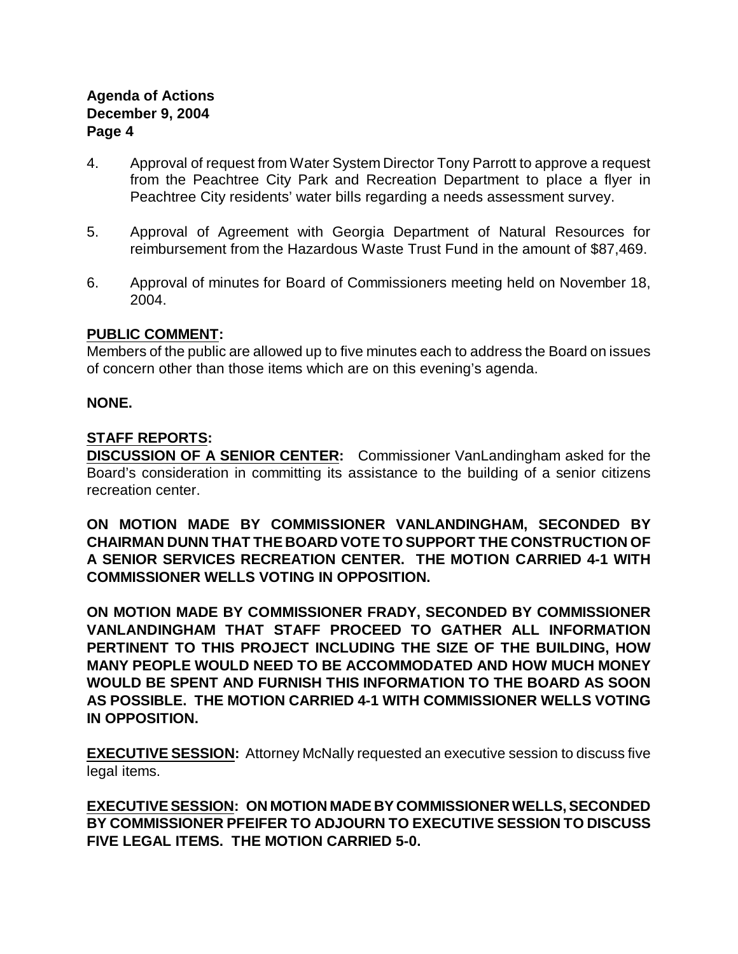- 4. Approval of request from Water System Director Tony Parrott to approve a request from the Peachtree City Park and Recreation Department to place a flyer in Peachtree City residents' water bills regarding a needs assessment survey.
- 5. Approval of Agreement with Georgia Department of Natural Resources for reimbursement from the Hazardous Waste Trust Fund in the amount of \$87,469.
- 6. Approval of minutes for Board of Commissioners meeting held on November 18, 2004.

## **PUBLIC COMMENT:**

Members of the public are allowed up to five minutes each to address the Board on issues of concern other than those items which are on this evening's agenda.

## **NONE.**

## **STAFF REPORTS:**

**DISCUSSION OF A SENIOR CENTER:** Commissioner VanLandingham asked for the Board's consideration in committing its assistance to the building of a senior citizens recreation center.

**ON MOTION MADE BY COMMISSIONER VANLANDINGHAM, SECONDED BY CHAIRMAN DUNN THAT THE BOARD VOTE TO SUPPORT THE CONSTRUCTION OF A SENIOR SERVICES RECREATION CENTER. THE MOTION CARRIED 4-1 WITH COMMISSIONER WELLS VOTING IN OPPOSITION.**

**ON MOTION MADE BY COMMISSIONER FRADY, SECONDED BY COMMISSIONER VANLANDINGHAM THAT STAFF PROCEED TO GATHER ALL INFORMATION PERTINENT TO THIS PROJECT INCLUDING THE SIZE OF THE BUILDING, HOW MANY PEOPLE WOULD NEED TO BE ACCOMMODATED AND HOW MUCH MONEY WOULD BE SPENT AND FURNISH THIS INFORMATION TO THE BOARD AS SOON AS POSSIBLE. THE MOTION CARRIED 4-1 WITH COMMISSIONER WELLS VOTING IN OPPOSITION.**

**EXECUTIVE SESSION:** Attorney McNally requested an executive session to discuss five legal items.

**EXECUTIVE SESSION: ON MOTION MADE BY COMMISSIONER WELLS, SECONDED BY COMMISSIONER PFEIFER TO ADJOURN TO EXECUTIVE SESSION TO DISCUSS FIVE LEGAL ITEMS. THE MOTION CARRIED 5-0.**